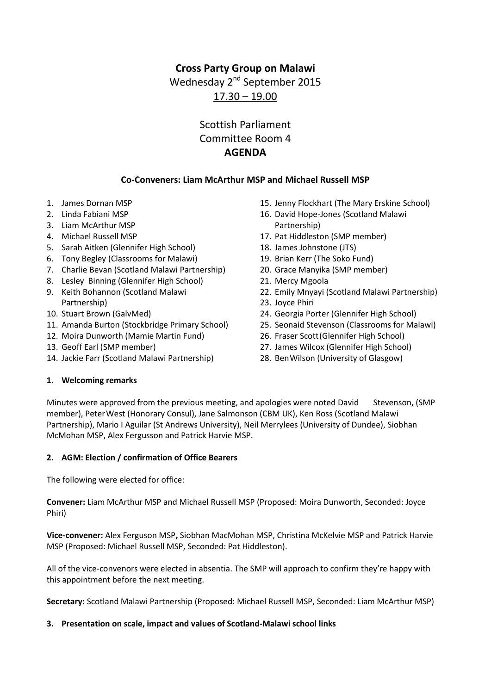## **Cross Party Group on Malawi**

Wednesday 2<sup>nd</sup> September 2015

17.30 – 19.00

# Scottish Parliament Committee Room 4 **AGENDA**

### **Co-Conveners: Liam McArthur MSP and Michael Russell MSP**

- 1. James Dornan MSP
- 2. Linda Fabiani MSP
- 3. Liam McArthur MSP
- 4. Michael Russell MSP
- 5. Sarah Aitken (Glennifer High School)
- 6. Tony Begley (Classrooms for Malawi)
- 7. Charlie Bevan (Scotland Malawi Partnership)
- 8. Lesley Binning (Glennifer High School)
- 9. Keith Bohannon (Scotland Malawi Partnership)
- 10. Stuart Brown (GalvMed)
- 11. Amanda Burton (Stockbridge Primary School)
- 12. Moira Dunworth (Mamie Martin Fund)
- 13. Geoff Earl (SMP member)
- 14. Jackie Farr (Scotland Malawi Partnership)
- 15. Jenny Flockhart (The Mary Erskine School)
- 16. David Hope-Jones (Scotland Malawi Partnership)
- 17. Pat Hiddleston (SMP member)
- 18. James Johnstone (JTS)
- 19. Brian Kerr (The Soko Fund)
- 20. Grace Manyika (SMP member)
- 21. Mercy Mgoola
- 22. Emily Mnyayi (Scotland Malawi Partnership)
- 23. Joyce Phiri
- 24. Georgia Porter (Glennifer High School)
- 25. Seonaid Stevenson (Classrooms for Malawi)
- 26. Fraser Scott(Glennifer High School)
- 27. James Wilcox (Glennifer High School)
- 28. BenWilson (University of Glasgow)

#### **1. Welcoming remarks**

Minutes were approved from the previous meeting, and apologies were noted David Stevenson, (SMP member), PeterWest (Honorary Consul), Jane Salmonson (CBM UK), Ken Ross (Scotland Malawi Partnership), Mario I Aguilar (St Andrews University), Neil Merrylees (University of Dundee), Siobhan McMohan MSP, Alex Fergusson and Patrick Harvie MSP.

#### **2. AGM: Election / confirmation of Office Bearers**

The following were elected for office:

**Convener:** Liam McArthur MSP and Michael Russell MSP (Proposed: Moira Dunworth, Seconded: Joyce Phiri)

**Vice-convener:** Alex Ferguson MSP**,** Siobhan MacMohan MSP, Christina McKelvie MSP and Patrick Harvie MSP (Proposed: Michael Russell MSP, Seconded: Pat Hiddleston).

All of the vice-convenors were elected in absentia. The SMP will approach to confirm they're happy with this appointment before the next meeting.

**Secretary:** Scotland Malawi Partnership (Proposed: Michael Russell MSP, Seconded: Liam McArthur MSP)

#### **3. Presentation on scale, impact and values of Scotland-Malawi school links**